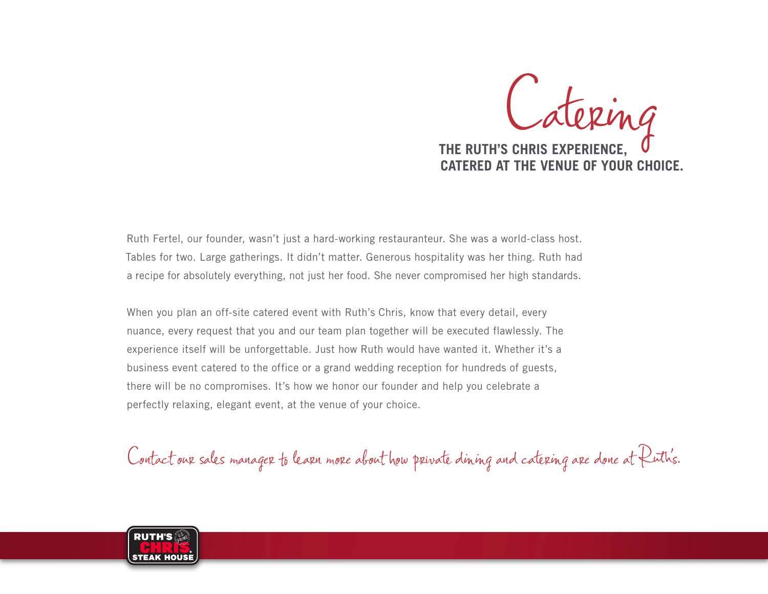

Ruth Fertel, our founder, wasn't just a hard-working restauranteur. She was a world-class host. Tables for two. Large gatherings. It didn't matter. Generous hospitality was her thing. Ruth had a recipe for absolutely everything, not just her food. She never compromised her high standards.

When you plan an off-site catered event with Ruth's Chris, know that every detail, every nuance, every request that you and our team plan together will be executed flawlessly. The experience itself will be unforgettable. Just how Ruth would have wanted it. Whether it's a business event catered to the office or a grand wedding reception for hundreds of guests, there will be no compromises. It's how we honor our founder and help you celebrate a perfectly relaxing, elegant event, at the venue of your choice.

Contact our sales manager to learn more about how private dining and catering are done at Ruth's.

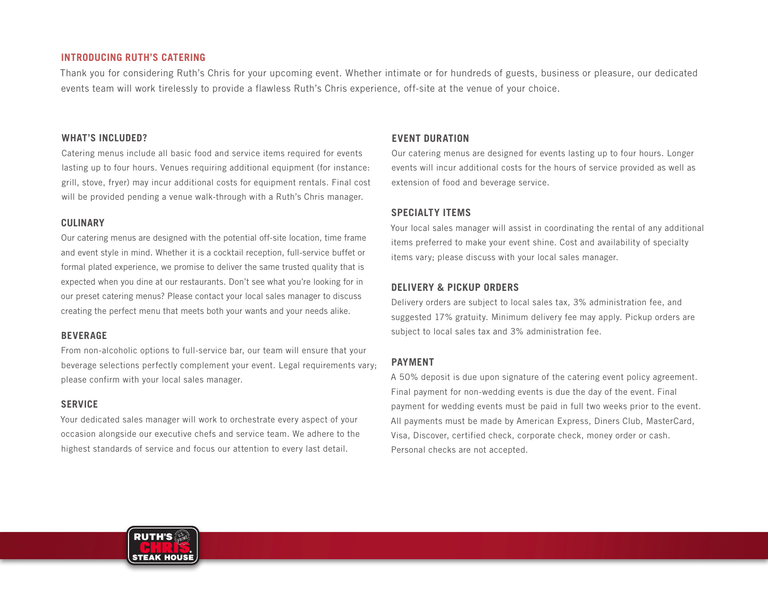## **INTRODUCING RUTH'S CATERING**

Thank you for considering Ruth's Chris for your upcoming event. Whether intimate or for hundreds of guests, business or pleasure, our dedicated events team will work tirelessly to provide a flawless Ruth's Chris experience, off-site at the venue of your choice.

### **WHAT'S INCLUDED?**

Catering menus include all basic food and service items required for events lasting up to four hours. Venues requiring additional equipment (for instance: grill, stove, fryer) may incur additional costs for equipment rentals. Final cost will be provided pending a venue walk-through with a Ruth's Chris manager.

#### **CULINARY**

Our catering menus are designed with the potential off-site location, time frame and event style in mind. Whether it is a cocktail reception, full-service buffet or formal plated experience, we promise to deliver the same trusted quality that is expected when you dine at our restaurants. Don't see what you're looking for in our preset catering menus? Please contact your local sales manager to discuss creating the perfect menu that meets both your wants and your needs alike.

### **BEVERAGE**

From non-alcoholic options to full-service bar, our team will ensure that your beverage selections perfectly complement your event. Legal requirements vary; please confirm with your local sales manager.

### **SERVICE**

Your dedicated sales manager will work to orchestrate every aspect of your occasion alongside our executive chefs and service team. We adhere to the highest standards of service and focus our attention to every last detail.

### **EVENT DURATION**

Our catering menus are designed for events lasting up to four hours. Longer events will incur additional costs for the hours of service provided as well as extension of food and beverage service.

### **SPECIALTY ITEMS**

Your local sales manager will assist in coordinating the rental of any additional items preferred to make your event shine. Cost and availability of specialty items vary; please discuss with your local sales manager.

# **DELIVERY & PICKUP ORDERS**

Delivery orders are subject to local sales tax, 3% administration fee, and suggested 17% gratuity. Minimum delivery fee may apply. Pickup orders are subject to local sales tax and 3% administration fee.

### **PAYMENT**

A 50% deposit is due upon signature of the catering event policy agreement. Final payment for non-wedding events is due the day of the event. Final payment for wedding events must be paid in full two weeks prior to the event. All payments must be made by American Express, Diners Club, MasterCard, Visa, Discover, certified check, corporate check, money order or cash. Personal checks are not accepted.

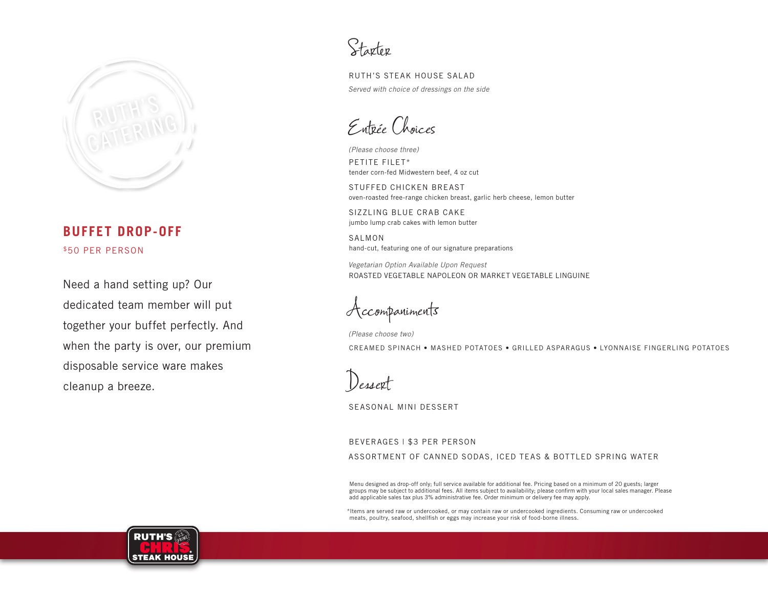

# **BUFFET DROP-OFF** \$50 PER PERSON

Need a hand setting up? Our dedicated team member will put together your buffet perfectly. And when the party is over, our premium disposable service ware makes cleanup a breeze.

Starter

RUTH'S STEAK HOUSE SALAD *Served with choice of dressings on the side*

Entrée Choices

*(Please choose three)* PETITE FILET\* tender corn-fed Midwestern beef, 4 oz cut

STUFFED CHICKEN BREAST oven-roasted free-range chicken breast, garlic herb cheese, lemon butter

SIZZLING BLUE CRAB CAKE jumbo lump crab cakes with lemon butter

SALMON hand-cut, featuring one of our signature preparations

*Vegetarian Option Available Upon Request* ROASTED VEGETABLE NAPOLEON OR MARKET VEGETABLE LINGUINE

Accompaniments

*(Please choose two)*

CREAMED SPINACH • MASHED POTATOES • GRILLED ASPARAGUS • LYONNAISE FINGERLING POTATOES

Dessert

SEASONAL MINI DESSERT

BEVERAGES | \$3 PER PERSON ASSORTMENT OF CANNED SODAS, ICED TEAS & BOTTLED SPRING WATER

Menu designed as drop-off only; full service available for additional fee. Pricing based on a minimum of 20 guests; larger groups may be subject to additional fees. All items subject to availability; please confirm with your local sales manager. Please add applicable sales tax plus 3% administrative fee. Order minimum or delivery fee may apply.

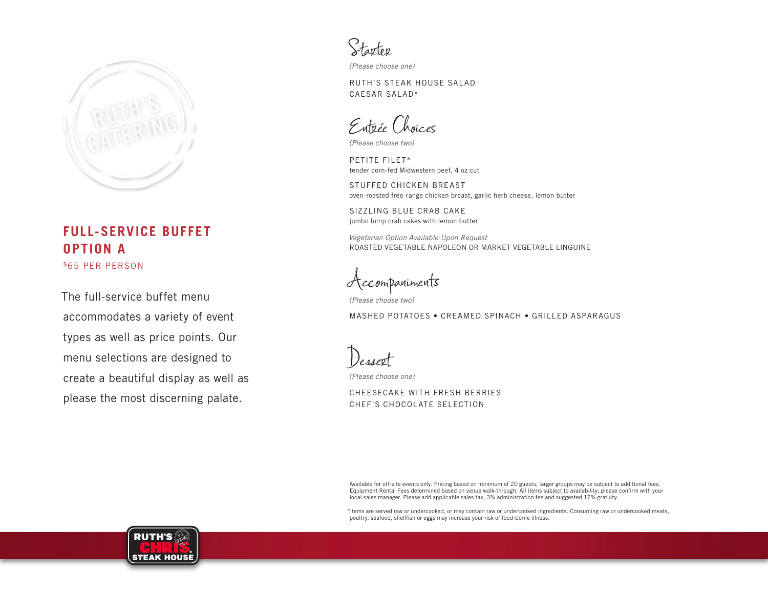

# **FULL-SERVICE BUFFET OPTION A**  \$65 PER PERSON

The full-service buffet menu accommodates a variety of event types as well as price points. Our menu selections are designed to create a beautiful display as well as please the most discerning palate.

Starter

*(Please choose one)*

RUTH'S STEAK HOUSE SALAD CAESAR SALAD\*

Entrée Choices

*(Please choose two)*

PETITE FILET\* tender corn-fed Midwestern beef, 4 oz cut

STUFFED CHICKEN BREAST oven-roasted free-range chicken breast, garlic herb cheese, lemon butter

SIZZLING BLUE CRAB CAKE jumbo lump crab cakes with lemon butter

*Vegetarian Option Available Upon Request* ROASTED VEGETABLE NAPOLEON OR MARKET VEGETABLE LINGUINE

Accompaniments

*(Please choose two)* MASHED POTATOES • CREAMED SPINACH • GRILLED ASPARAGUS

Dessert *(Please choose one)*

CHEESECAKE WITH FRESH BERRIES CHEF'S CHOCOLATE SELECTION

Available for off-site events only. Pricing based on minimum of 20 guests; larger groups may be subject to additional fees. Equipment Rental Fees determined based on venue walk-through. All items subject to availability; please confirm with your local sales manager. Please add applicable sales tax, 3% administration fee and suggested 17% gratuity.

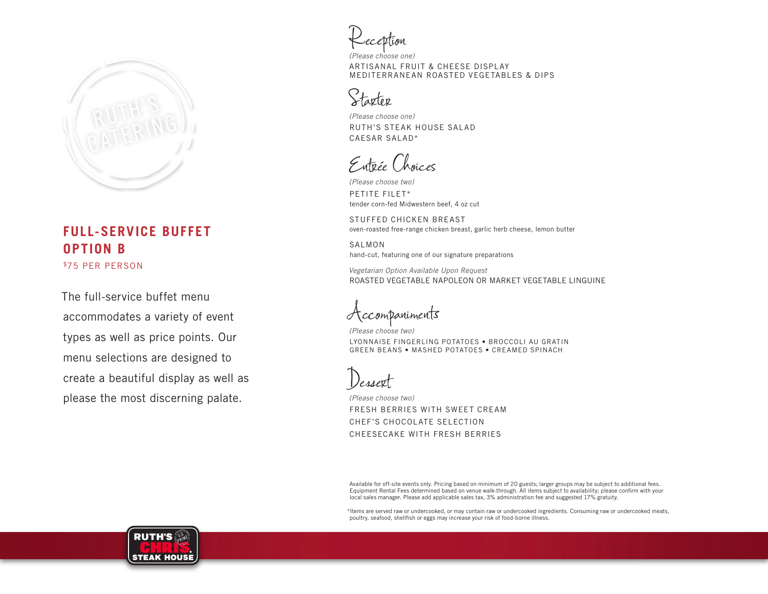

# \$75 PER PERSON **FULL-SERVICE BUFFET OPTION B**

The full-service buffet menu accommodates a variety of event types as well as price points. Our menu selections are designed to create a beautiful display as well as please the most discerning palate.

Reception

*(Please choose one)* ARTISANAL FRUIT & CHEESE DISPLAY MEDITERRANEAN ROASTED VEGETABLES & DIPS

# Starter

*(Please choose one)* RUTH'S STEAK HOUSE SALAD CAESAR SALAD\*

Entrée Choices

*(Please choose two)* PETITE FILET\* tender corn-fed Midwestern beef, 4 oz cut

STUFFED CHICKEN BREAST oven-roasted free-range chicken breast, garlic herb cheese, lemon butter

SALMON hand-cut, featuring one of our signature preparations

*Vegetarian Option Available Upon Request* ROASTED VEGETABLE NAPOLEON OR MARKET VEGETABLE LINGUINE

ccompaniments

*(Please choose two)* LYONNAISE FINGERLING POTATOES • BROCCOLI AU GRATIN GREEN BEANS • MASHED POTATOES • CREAMED SPINACH

Dessert

*(Please choose two)* FRESH BERRIES WITH SWEET CREAM CHEF'S CHOCOLATE SELECTION CHEESECAKE WITH FRESH BERRIES

Available for off-site events only. Pricing based on minimum of 20 guests; larger groups may be subject to additional fees. Equipment Rental Fees determined based on venue walk-through. All items subject to availability; please confirm with your local sales manager. Please add applicable sales tax, 3% administration fee and suggested 17% gratuity.

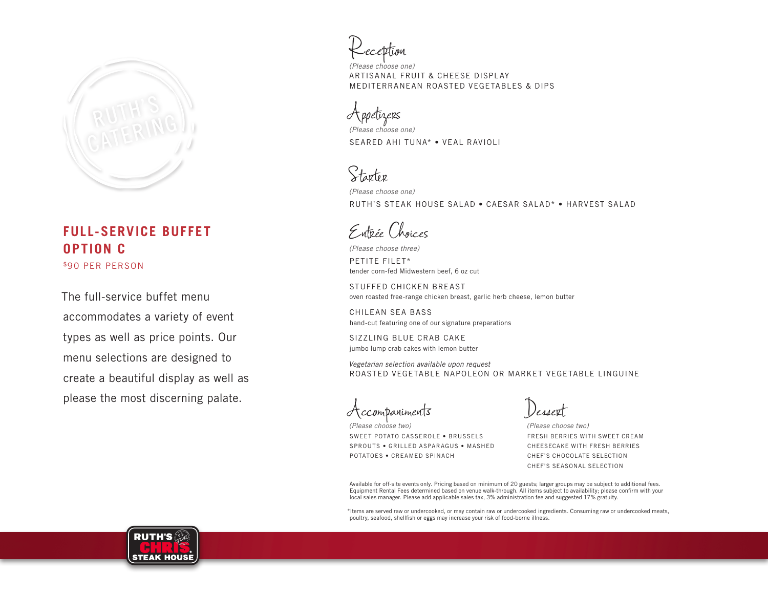

# \$90 PER PERSON **FULL-SERVICE BUFFET OPTION C**

The full-service buffet menu accommodates a variety of event types as well as price points. Our menu selections are designed to create a beautiful display as well as please the most discerning palate.

Reception

*(Please choose one)* ARTISANAL FRUIT & CHEESE DISPLAY MEDITERRANEAN ROASTED VEGETABLES & DIPS

Appetizers

*(Please choose one)* SEARED AHI TUNA\* • VEAL RAVIOLI

Starter

*(Please choose one)* RUTH'S STEAK HOUSE SALAD • CAESAR SALAD\* • HARVEST SALAD

Entrée Choices

*(Please choose three)* PETITE FILET\*

tender corn-fed Midwestern beef, 6 oz cut

STUFFED CHICKEN BREAST oven roasted free-range chicken breast, garlic herb cheese, lemon butter

CHILEAN SEA BASS hand-cut featuring one of our signature preparations

SIZZLING BLUE CRAB CAKE jumbo lump crab cakes with lemon butter

*Vegetarian selection available upon request* ROASTED VEGETABLE NAPOLEON OR MARKET VEGETABLE LINGUINE

Accompaniments

*(Please choose two)* SWEET POTATO CASSEROLE • BRUSSELS SPROUTS • GRILLED ASPARAGUS • MASHED POTATOES • CREAMED SPINACH

Dessert

*(Please choose two)* FRESH BERRIES WITH SWEET CREAM CHEESECAKE WITH FRESH BERRIES CHEF'S CHOCOLATE SELECTION CHEF'S SEASONAL SELECTION

Available for off-site events only. Pricing based on minimum of 20 guests; larger groups may be subject to additional fees. Equipment Rental Fees determined based on venue walk-through. All items subject to availability; please confirm with your local sales manager. Please add applicable sales tax, 3% administration fee and suggested 17% gratuity.

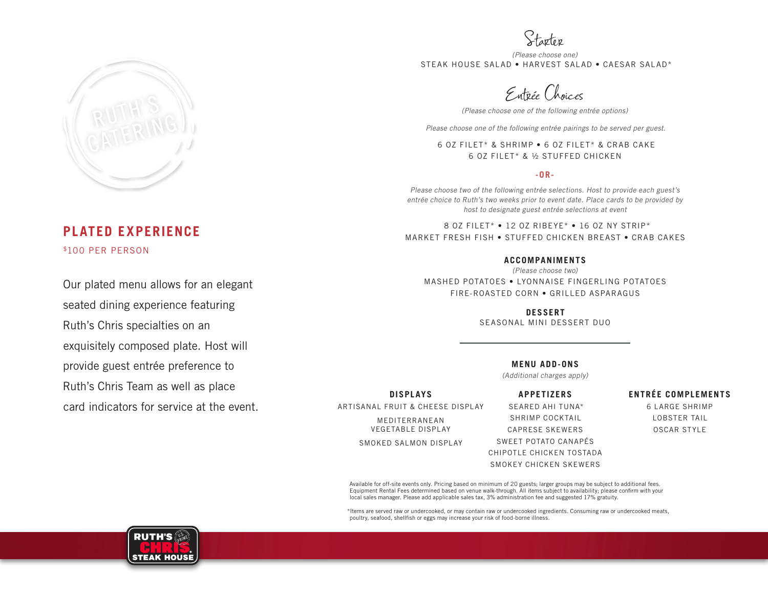

# **PLATED EXPERIENCE** \$100 PER PERSON

Our plated menu allows for an elegant seated dining experience featuring Ruth's Chris specialties on an exquisitely composed plate. Host will provide guest entrée preference to Ruth's Chris Team as well as place card indicators for service at the event.

Starter

*(Please choose one)* STEAK HOUSE SALAD • HARVEST SALAD • CAESAR SALAD\*

Entrée Choices

*(Please choose one of the following entrée options)*

*Please choose one of the following entrée pairings to be served per guest.*

6 OZ FILET\* & SHRIMP • 6 OZ FILET\* & CRAB CAKE 6 OZ FILET\* & ½ STUFFED CHICKEN

#### **-OR-**

Please choose two of the following entrée selections. Host to provide each guest's entrée choice to Ruth's two weeks prior to event date. Place cards to be provided by host to designate guest entrée selections at event

8 OZ FILET\* • 12 OZ RIBEYE\* • 16 OZ NY STRIP\* MARKET FRESH FISH • STUFFED CHICKEN BREAST • CRAB CAKES

#### **ACCOMPANIMENTS**

(Please choose two) MASHED POTATOES • LYONNAISE FINGERLING POTATOES FIRE-ROASTED CORN • GRILLED ASPARAGUS

> **DESSERT** SEASONAL MINI DESSERT DUO

#### **MENU ADD-ONS**

(Additional charges apply)

**DISPLAYS** ARTISANAL FRUIT & CHEESE DISPLAY MEDITERRANEAN VEGETABLE DISPLAY

SMOKED SALMON DISPLAY

**APPETIZERS** SEARED AHI TUNA\* SHRIMP COCKTAIL CAPRESE SKEWERS SWEET POTATO CANAPÉS CHIPOTLE CHICKEN TOSTADA SMOKEY CHICKEN SKEWERS

**ENTRÉE COMPLEMENTS**  6 LARGE SHRIMP

> LOBSTER TAIL OSCAR STYLE

Available for off-site events only. Pricing based on minimum of 20 guests; larger groups may be subject to additional fees. Equipment Rental Fees determined based on venue walk-through. All items subject to availability; please confirm with your local sales manager. Please add applicable sales tax, 3% administration fee and suggested 17% gratuity.

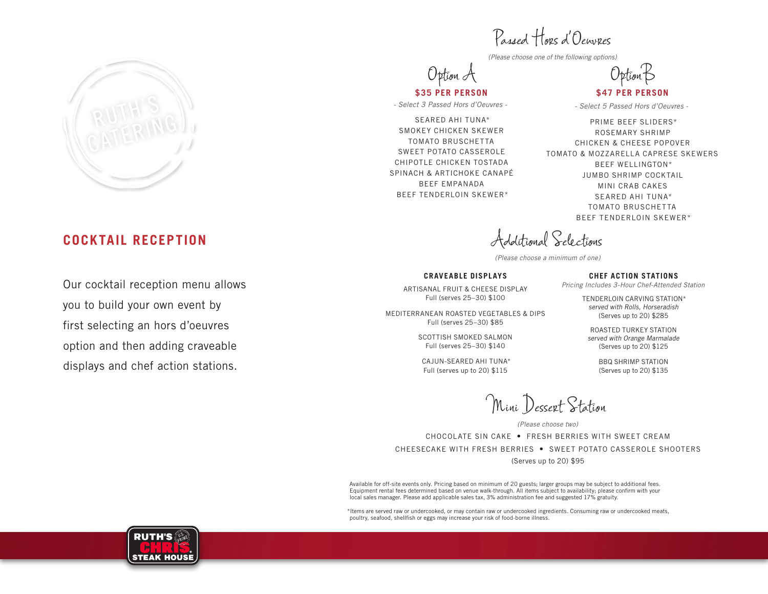

# **COCKTAIL RECEPTION**

Our cocktail reception menu allows you to build your own event by first selecting an hors d'oeuvres option and then adding craveable displays and chef action stations.

Passed Hors d'Oeuvres

*(Please choose one of the following options)*

Option A

**\$35 PER PERSON** *- Select 3 Passed Hors d'Oeuvres -*

SEARED AHI TUNA\* SMOKEY CHICKEN SKEWER TOMATO BRUSCHETTA SWEET POTATO CASSEROLE CHIPOTLE CHICKEN TOSTADA SPINACH & ARTICHOKE CANAPÉ BEEF EMPANADA BEEF TENDERLOIN SKEWER\*

OptionB

**\$47 PER PERSON**

*- Select 5 Passed Hors d'Oeuvres -*

PRIME BEEF SLIDERS\* ROSEMARY SHRIMP CHICKEN & CHEESE POPOVER TOMATO & MOZZARELLA CAPRESE SKEWERS BEEF WELLINGTON\* JUMBO SHRIMP COCKTAIL MINI CRAB CAKES SEARED AHI TUNA\* TOMATO BRUSCHETTA BEEF TENDERLOIN SKEWER\*

Additional Selections

*(Please choose a minimum of one)*

#### **CRAVEABLE DISPLAYS**

ARTISANAL FRUIT & CHEESE DISPLAY Full (serves 25–30) \$100

MEDITERRANEAN ROASTED VEGETABLES & DIPS Full (serves 25–30) \$85

> SCOTTISH SMOKED SALMON Full (serves 25–30) \$140

CAJUN-SEARED AHI TUNA\* Full (serves up to 20) \$115

**CHEF ACTION STATIONS** *Pricing Includes 3-Hour Chef-Attended Station*

TENDERLOIN CARVING STATION\* served with Rolls, Horseradish (Serves up to 20) \$285

ROASTED TURKEY STATION served with Orange Marmalade (Serves up to 20) \$125

> BBQ SHRIMP STATION (Serves up to 20) \$135

Mini Dessert Station

*(Please choose two)*

CHOCOLATE SIN CAKE • FRESH BERRIES WITH SWEET CREAM CHEESECAKE WITH FRESH BERRIES • SWEET POTATO CASSEROLE SHOOTERS (Serves up to 20) \$95

Available for off-site events only. Pricing based on minimum of 20 guests; larger groups may be subject to additional fees. Equipment rental fees determined based on venue walk-through. All items subject to availability; please confirm with your local sales manager. Please add applicable sales tax, 3% administration fee and suggested 17% gratuity.

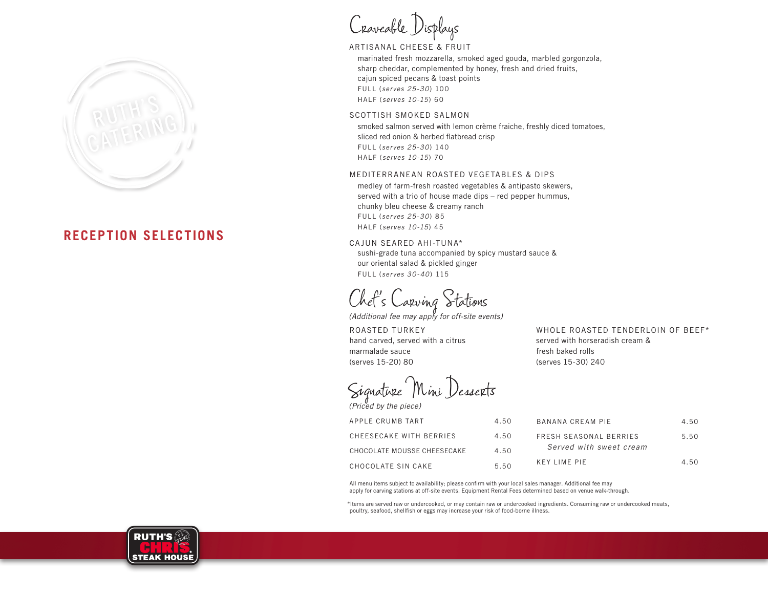

# **RECEPTION SELECTIONS**

Craveable Displays

# ARTISANAL CHEESE & FRUIT

 marinated fresh mozzarella, smoked aged gouda, marbled gorgonzola, sharp cheddar, complemented by honey, fresh and dried fruits, cajun spiced pecans & toast points FULL (*serves 25-30*) 100 HALF (*serves 10-15*) 60

#### SCOTTISH SMOKED SALMON

 smoked salmon served with lemon crème fraiche, freshly diced tomatoes, sliced red onion & herbed flatbread crisp FULL (*serves 25-30*) 140 HALF (*serves 10-15*) 70

#### MEDITERRANEAN ROASTED VEGETABLES & DIPS

 medley of farm-fresh roasted vegetables & antipasto skewers, served with a trio of house made dips – red pepper hummus, chunky bleu cheese & creamy ranch FULL (*serves 25-30*) 85 HALF (*serves 10-15*) 45

#### CAJUN SEARED AHI-TUNA\*

 sushi-grade tuna accompanied by spicy mustard sauce & our oriental salad & pickled ginger FULL (*serves 30-40*) 115

Chef's Carving Stations

*(Additional fee may apply for off-site events)*

ROASTED TURKEY hand carved, served with a citrus marmalade sauce (serves 15-20) 80

Signature Mini Desserts *(Priced by the piece)*

| WHULE RUASTED TENDERLUIN OF BEEFT |
|-----------------------------------|
| served with horseradish cream &   |
| fresh baked rolls                 |
| (serves 15-30) 240                |
|                                   |

WHOLE ROASTED TENDERLOIN OF BEEF\*

| APPLE CRUMB TART            | 4.50 | BANANA CREAM PIE        | 4.50 |
|-----------------------------|------|-------------------------|------|
|                             |      |                         |      |
| CHEFSFCAKE WITH BERRIES     | 4.50 | FRESH SEASONAL BERRIES  | 5.50 |
|                             |      |                         |      |
| CHOCOLATE MOUSSE CHEESECAKE | 4.50 | Served with sweet cream |      |
|                             |      |                         |      |
| CHOCOLATE SIN CAKE          | 5.50 | KEY LIME PIE            | 4.50 |

All menu items subject to availability; please confirm with your local sales manager. Additional fee may apply for carving stations at off-site events. Equipment Rental Fees determined based on venue walk-through.

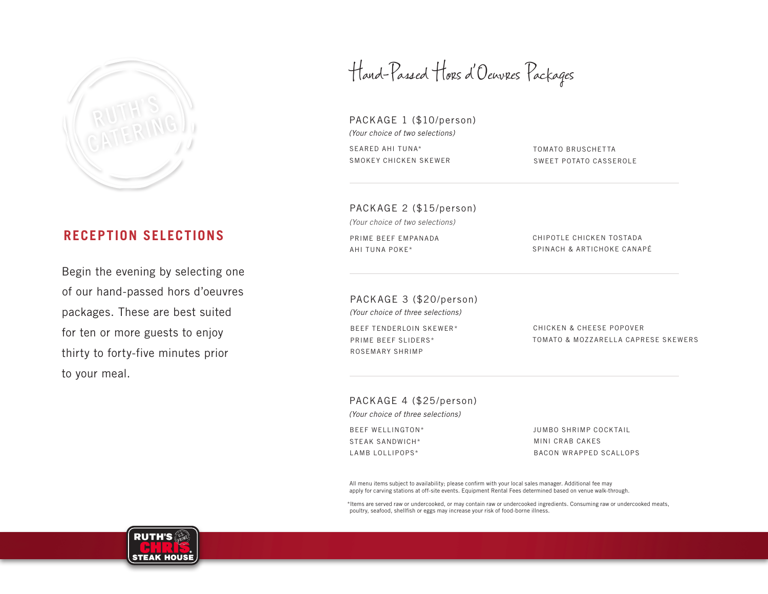

# **RECEPTION SELECTIONS**

Begin the evening by selecting one of our hand-passed hors d'oeuvres packages. These are best suited for ten or more guests to enjoy thirty to forty-five minutes prior to your meal.

Hand-Passed Hors d'Oeuvres Packages

PACKAGE 1 (\$10/person) *(Your choice of two selections)* SEARED AHI TUNA\* SMOKEY CHICKEN SKEWER

TOMATO BRUSCHETTA SWEET POTATO CASSEROLE

PACKAGE 2 (\$15/person)

*(Your choice of two selections)*

PRIME BEEF EMPANADA AHI TUNA POKE\*

CHIPOTLE CHICKEN TOSTADA SPINACH & ARTICHOKE CANAPÉ

PACKAGE 3 (\$20/person) *(Your choice of three selections)* BEEF TENDERLOIN SKEWER\* PRIME BEEF SLIDERS\*

CHICKEN & CHEESE POPOVER TOMATO & MOZZARELLA CAPRESE SKEWERS

PACKAGE 4 (\$25/person)

*(Your choice of three selections)*

BEEF WELLINGTON\* STEAK SANDWICH\* LAMB LOLLIPOPS\*

ROSEMARY SHRIMP

JUMBO SHRIMP COCKTAIL MINI CRAB CAKES BACON WRAPPED SCALLOPS

All menu items subject to availability; please confirm with your local sales manager. Additional fee may apply for carving stations at off-site events. Equipment Rental Fees determined based on venue walk-through.